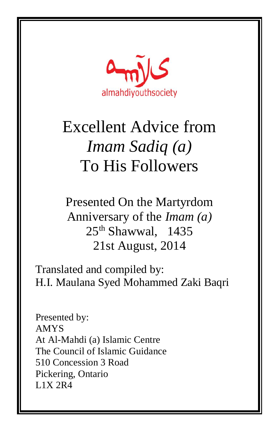

Presented On the Martyrdom Anniversary of the *Imam (a)*  $25<sup>th</sup>$  Shawwal, 1435 21st August, 2014

Translated and compiled by: H.I. Maulana Syed Mohammed Zaki Baqri

Presented by: AMYS At Al-Mahdi (a) Islamic Centre The Council of Islamic Guidance 510 Concession 3 Road Pickering, Ontario L1X 2R4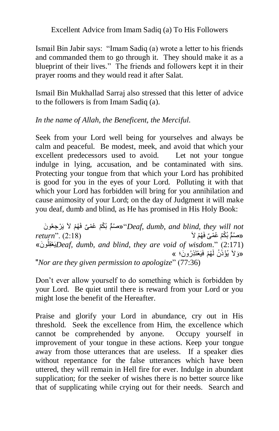Ismail Bin Jabir says: "Imam Sadiq (a) wrote a letter to his friends and commanded them to go through it. They should make it as a blueprint of their lives." The friends and followers kept it in their prayer rooms and they would read it after Salat.

Ismail Bin Mukhallad Sarraj also stressed that this letter of advice to the followers is from Imam Sadiq (a).

## *In the name of Allah, the Beneficent, the Merciful.*

Seek from your Lord well being for yourselves and always be calm and peaceful. Be modest, meek, and avoid that which your excellent predecessors used to avoid. Let not your tongue indulge in lying, accusation, and be contaminated with sins. Protecting your tongue from that which your Lord has prohibited is good for you in the eyes of your Lord. Polluting it with that which your Lord has forbidden will bring for you annihilation and cause animosity of your Lord; on the day of Judgment it will make you deaf, dumb and blind, as He has promised in His Holy Book:

ُهْم الَ يَ ْر ِجعُو َن ْكٌم ُع ْم ٌى فَ ُب مٌّصُ"» *Deaf, dumb, and blind, they will not*   $return$ " $(2:18)$ «صنُمٌّ بُكْمٌ عُمْ*ىٌ* فَ*ّ* نَ وُ « قلِعْ َي*Deaf, dumb, and blind, they are void of wisdom*." (2:171) «وَلاَ يُؤْذَنُ لَهُمْ فَيَعْتَذِرُونَ؛ » "*Nor are they given permission to apologize*" (77:36)

Don't ever allow yourself to do something which is forbidden by your Lord. Be quiet until there is reward from your Lord or you might lose the benefit of the Hereafter.

Praise and glorify your Lord in abundance, cry out in His threshold. Seek the excellence from Him, the excellence which cannot be comprehended by anyone. Occupy yourself in improvement of your tongue in these actions. Keep your tongue away from those utterances that are useless. If a speaker dies without repentance for the false utterances which have been uttered, they will remain in Hell fire for ever. Indulge in abundant supplication; for the seeker of wishes there is no better source like that of supplicating while crying out for their needs. Search and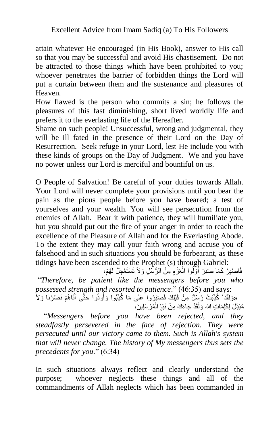attain whatever He encouraged (in His Book), answer to His call so that you may be successful and avoid His chastisement. Do not be attracted to those things which have been prohibited to you; whoever penetrates the barrier of forbidden things the Lord will put a curtain between them and the sustenance and pleasures of Heaven.

How flawed is the person who commits a sin; he follows the pleasures of this fast diminishing, short lived worldly life and prefers it to the everlasting life of the Hereafter.

Shame on such people! Unsuccessful, wrong and judgmental, they will be ill fated in the presence of their Lord on the Day of Resurrection. Seek refuge in your Lord, lest He include you with these kinds of groups on the Day of Judgment. We and you have no power unless our Lord is merciful and bountiful on us.

O People of Salvation! Be careful of your duties towards Allah. Your Lord will never complete your provisions until you bear the pain as the pious people before you have beared; a test of yourselves and your wealth. You will see persecution from the enemies of Allah. Bear it with patience, they will humiliate you, but you should put out the fire of your anger in order to reach the excellence of the Pleasure of Allah and for the Everlasting Abode. To the extent they may call your faith wrong and accuse you of falsehood and in such situations you should be forbearant, as these tidings have been ascended to the Prophet (s) through Gabriel:

فَاصْبِرْ كَمَا صَبَرَ أُوَّلُوا الْعَزْمِ مِنْ الرُّسُلِ وَلاَ تَسْتَعْجِلْ لَهُمْ، ُ ْ "*Therefore, be patient like the messengers before you who possessed strength and resorted to patience*." (46:35) and says: «وَلَقَدْ ۚ كُٰذِّبَتْ رُسُلٌ مِنْ قَبْلِكَ فَصَبَرُوا ۚعَلَى مَا كُٰذِّبُوا وَأُوذُوا حَتَّى أَتَاهُمْ نَصْرُنَا وَلاَ ا<br>أ َ ْ

مُبَدِّلَ لِكَلِمَاتِ الله وَلَقَدْ جَاءَكَ مِنْ نَبَإِ الْمُرْسَلِينَ، ا<br>ءِ "*Messengers before you have been rejected, and they steadfastly persevered in the face of rejection. They were persecuted until our victory came to them. Such is Allah's system that will never change. The history of My messengers thus sets the precedents for you*." (6:34)

In such situations always reflect and clearly understand the purpose; whoever neglects these things and all of the commandments of Allah neglects which has been commanded in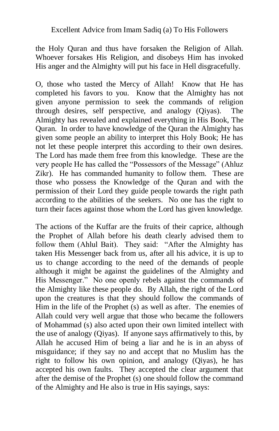the Holy Quran and thus have forsaken the Religion of Allah. Whoever forsakes His Religion, and disobeys Him has invoked His anger and the Almighty will put his face in Hell disgracefully.

O, those who tasted the Mercy of Allah! Know that He has completed his favors to you. Know that the Almighty has not given anyone permission to seek the commands of religion through desires, self perspective, and analogy (Qiyas). The Almighty has revealed and explained everything in His Book, The Quran. In order to have knowledge of the Quran the Almighty has given some people an ability to interpret this Holy Book; He has not let these people interpret this according to their own desires. The Lord has made them free from this knowledge. These are the very people He has called the "Possessors of the Message" (Ahluz Zikr). He has commanded humanity to follow them. These are those who possess the Knowledge of the Quran and with the permission of their Lord they guide people towards the right path according to the abilities of the seekers. No one has the right to turn their faces against those whom the Lord has given knowledge.

The actions of the Kuffar are the fruits of their caprice, although the Prophet of Allah before his death clearly advised them to follow them (Ahlul Bait). They said: "After the Almighty has taken His Messenger back from us, after all his advice, it is up to us to change according to the need of the demands of people although it might be against the guidelines of the Almighty and His Messenger." No one openly rebels against the commands of the Almighty like these people do. By Allah, the right of the Lord upon the creatures is that they should follow the commands of Him in the life of the Prophet (s) as well as after. The enemies of Allah could very well argue that those who became the followers of Mohammad (s) also acted upon their own limited intellect with the use of analogy (Qiyas). If anyone says affirmatively to this, by Allah he accused Him of being a liar and he is in an abyss of misguidance; if they say no and accept that no Muslim has the right to follow his own opinion, and analogy (Qiyas), he has accepted his own faults. They accepted the clear argument that after the demise of the Prophet (s) one should follow the command of the Almighty and He also is true in His sayings, says: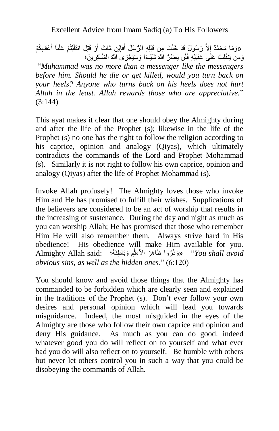«وَمَا مُحَمَّدٌ إِلاَّ رَسُولٌ قَدْ خَلَتْ مِن قَبْلِهِ الرُّسُلُ أَفَإِيْنِ مَّاتَ أَوْ قُتِلَ انقَلَبْتُمْ عَلَىآ أَعْقَبِكُمْ َ َ ׀<br>֧֜ َ وَمَن يَنقَلِبْ عَلَى عَقِبَيْهِ فَلَن يَضْرَّ اللَّهَ شَيْـءًا وَسَيَجْزِى اللَّهُ الشَّـكِرِينَ؛

"*Muhammad was no more than a messenger like the messengers before him. Should he die or get killed, would you turn back on your heels? Anyone who turns back on his heels does not hurt Allah in the least. Allah rewards those who are appreciative.*" (3:144)

This ayat makes it clear that one should obey the Almighty during and after the life of the Prophet (s); likewise in the life of the Prophet (s) no one has the right to follow the religion according to his caprice, opinion and analogy (Qiyas), which ultimately contradicts the commands of the Lord and Prophet Mohammad (s). Similarly it is not right to follow his own caprice, opinion and analogy (Qiyas) after the life of Prophet Mohammad (s).

Invoke Allah profusely! The Almighty loves those who invoke Him and He has promised to fulfill their wishes. Supplications of the believers are considered to be an act of worship that results in the increasing of sustenance. During the day and night as much as you can worship Allah; He has promised that those who remember Him He will also remember them. Always strive hard in His obedience! His obedience will make Him available for you. َوبَا ِطنَهُ؛ :said Allah Almighty ِم ُروا َظا ِه َر ا ْالِءث َوذَ" »*You shall avoid*  **ٔ** *obvious sins, as well as the hidden ones*." (6:120)

You should know and avoid those things that the Almighty has commanded to be forbidden which are clearly seen and explained in the traditions of the Prophet (s). Don't ever follow your own desires and personal opinion which will lead you towards misguidance. Indeed, the most misguided in the eyes of the Almighty are those who follow their own caprice and opinion and deny His guidance. As much as you can do good: indeed whatever good you do will reflect on to yourself and what ever bad you do will also reflect on to yourself. Be humble with others but never let others control you in such a way that you could be disobeying the commands of Allah.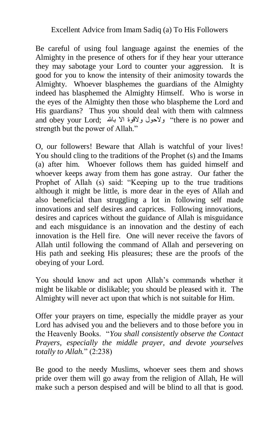Be careful of using foul language against the enemies of the Almighty in the presence of others for if they hear your utterance they may sabotage your Lord to counter your aggression. It is good for you to know the intensity of their animosity towards the Almighty. Whoever blasphemes the guardians of the Almighty indeed has blasphemed the Almighty Himself. Who is worse in the eyes of the Almighty then those who blaspheme the Lord and His guardians? Thus you should deal with them with calmness and obey your Lord; لاقوة الا بالله "there is no power and strength but the power of Allah."

O, our followers! Beware that Allah is watchful of your lives! You should cling to the traditions of the Prophet (s) and the Imams (a) after him. Whoever follows them has guided himself and whoever keeps away from them has gone astray. Our father the Prophet of Allah (s) said: "Keeping up to the true traditions although it might be little, is more dear in the eyes of Allah and also beneficial than struggling a lot in following self made innovations and self desires and caprices. Following innovations, desires and caprices without the guidance of Allah is misguidance and each misguidance is an innovation and the destiny of each innovation is the Hell fire. One will never receive the favors of Allah until following the command of Allah and persevering on His path and seeking His pleasures; these are the proofs of the obeying of your Lord.

You should know and act upon Allah's commands whether it might be likable or dislikable; you should be pleased with it. The Almighty will never act upon that which is not suitable for Him.

Offer your prayers on time, especially the middle prayer as your Lord has advised you and the believers and to those before you in the Heavenly Books. "*You shall consistently observe the Contact Prayers, especially the middle prayer, and devote yourselves totally to Allah.*" (2:238)

Be good to the needy Muslims, whoever sees them and shows pride over them will go away from the religion of Allah, He will make such a person despised and will be blind to all that is good.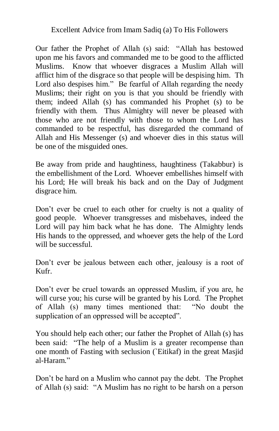Our father the Prophet of Allah (s) said: "Allah has bestowed upon me his favors and commanded me to be good to the afflicted Muslims. Know that whoever disgraces a Muslim Allah will afflict him of the disgrace so that people will be despising him. Th Lord also despises him." Be fearful of Allah regarding the needy Muslims; their right on you is that you should be friendly with them; indeed Allah (s) has commanded his Prophet (s) to be friendly with them. Thus Almighty will never be pleased with those who are not friendly with those to whom the Lord has commanded to be respectful, has disregarded the command of Allah and His Messenger (s) and whoever dies in this status will be one of the misguided ones.

Be away from pride and haughtiness, haughtiness (Takabbur) is the embellishment of the Lord. Whoever embellishes himself with his Lord; He will break his back and on the Day of Judgment disgrace him.

Don't ever be cruel to each other for cruelty is not a quality of good people. Whoever transgresses and misbehaves, indeed the Lord will pay him back what he has done. The Almighty lends His hands to the oppressed, and whoever gets the help of the Lord will be successful.

Don't ever be jealous between each other, jealousy is a root of Kufr.

Don't ever be cruel towards an oppressed Muslim, if you are, he will curse you; his curse will be granted by his Lord. The Prophet of Allah (s) many times mentioned that: "No doubt the supplication of an oppressed will be accepted".

You should help each other; our father the Prophet of Allah (s) has been said: "The help of a Muslim is a greater recompense than one month of Fasting with seclusion (`Eitikaf) in the great Masjid al-Haram."

Don't be hard on a Muslim who cannot pay the debt. The Prophet of Allah (s) said: "A Muslim has no right to be harsh on a person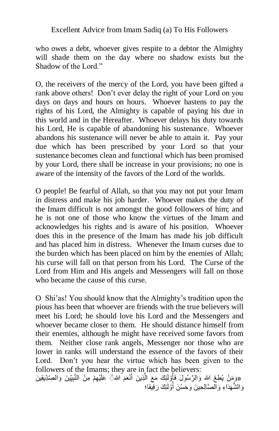who owes a debt, whoever gives respite to a debtor the Almighty will shade them on the day where no shadow exists but the Shadow of the Lord."

O, the receivers of the mercy of the Lord, you have been gifted a rank above others! Don't ever delay the right of your Lord on you days on days and hours on hours. Whoever hastens to pay the rights of his Lord, the Almighty is capable of paying his due in this world and in the Hereafter. Whoever delays his duty towards his Lord, He is capable of abandoning his sustenance. Whoever abandons his sustenance will never be able to attain it. Pay your due which has been prescribed by your Lord so that your sustenance becomes clean and functional which has been promised by your Lord, there shall be increase in your provisions; no one is aware of the intensity of the favors of the Lord of the worlds.

O people! Be fearful of Allah, so that you may not put your Imam in distress and make his job harder. Whoever makes the duty of the Imam difficult is not amongst the good followers of him; and he is not one of those who know the virtues of the Imam and acknowledges his rights and is aware of his position. Whoever does this in the presence of the Imam has made his job difficult and has placed him in distress. Whenever the Imam curses due to the burden which has been placed on him by the enemies of Allah; his curse will fall on that person from his Lord. The Curse of the Lord from Him and His angels and Messengers will fall on those who became the cause of this curse.

O Shi'as! You should know that the Almighty's tradition upon the pious has been that whoever are friends with the true believers will meet his Lord; he should love his Lord and the Messengers and whoever became closer to them. He should distance himself from their enemies, although he might have received some favors from them. Neither close rank angels, Messenger nor those who are lower in ranks will understand the essence of the favors of their Lord. Don't you hear the virtue which has been given to the followers of the Imams; they are in fact the believers:

«وَمَنْ يُطِعْ الله وَالرَّسُولَ فَأُوْلَٰئِكَ مَعَ الَّذِينَ أَنْعَمَ الله ُ عَلَيْهِمْ مِنْ النَّبِيِّينَ وَالصِّدِّيقِينَ َ َّ ُ وَالشُّهَدَاءِ وَالْصَّالِحِينَ وَحَسُنَ أَوْلَئِكَ رَفِيقا؛ ا<br>ا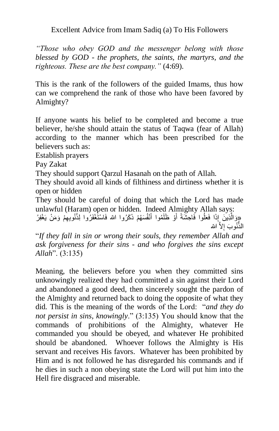*"Those who obey GOD and the messenger belong with those blessed by GOD - the prophets, the saints, the martyrs, and the righteous. These are the best company."* (4:69).

This is the rank of the followers of the guided Imams, thus how can we comprehend the rank of those who have been favored by Almighty?

If anyone wants his belief to be completed and become a true believer, he/she should attain the status of Taqwa (fear of Allah) according to the manner which has been prescribed for the believers such as:

Establish prayers

Pay Zakat

They should support Qarzul Hasanah on the path of Allah.

They should avoid all kinds of filthiness and dirtiness whether it is open or hidden

They should be careful of doing that which the Lord has made unlawful (Haram) open or hidden. Indeed Almighty Allah says:

«وَالَّذِينَ إِذَا فَعَلُوا فَاحِثْنَةً أَوْ ظَلَمُوا أَنْفُسَهُمْ ذَكَرُوا الله فَاسْتُغْفَرُوا لِذُنُوبِهِمْ وَمَنْ يَغْفِرُ َ َ َّ الذُّنُوبَ إِلاَّ الله

"*If they fall in sin or wrong their souls, they remember Allah and ask forgiveness for their sins - and who forgives the sins except Allah*". (3:135)

Meaning, the believers before you when they committed sins unknowingly realized they had committed a sin against their Lord and abandoned a good deed, then sincerely sought the pardon of the Almighty and returned back to doing the opposite of what they did. This is the meaning of the words of the Lord: "*and they do not persist in sins, knowingly*." (3:135) You should know that the commands of prohibitions of the Almighty, whatever He commanded you should be obeyed, and whatever He prohibited should be abandoned. Whoever follows the Almighty is His servant and receives His favors. Whatever has been prohibited by Him and is not followed he has disregarded his commands and if he dies in such a non obeying state the Lord will put him into the Hell fire disgraced and miserable.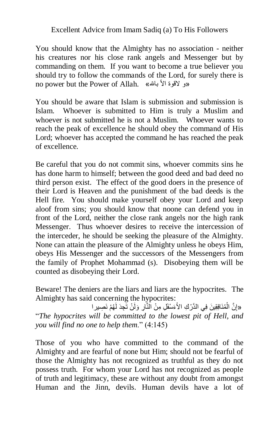You should know that the Almighty has no association - neither his creatures nor his close rank angels and Messenger but by commanding on them. If you want to become a true believer you should try to follow the commands of the Lord, for surely there is no power but the Power of Allah. «لو لاقوة الأ بالله

You should be aware that Islam is submission and submission is Islam. Whoever is submitted to Him is truly a Muslim and whoever is not submitted he is not a Muslim. Whoever wants to reach the peak of excellence he should obey the command of His Lord; whoever has accepted the command he has reached the peak of excellence.

Be careful that you do not commit sins, whoever commits sins he has done harm to himself; between the good deed and bad deed no third person exist. The effect of the good doers in the presence of their Lord is Heaven and the punishment of the bad deeds is the Hell fire. You should make yourself obey your Lord and keep aloof from sins; you should know that noone can defend you in front of the Lord, neither the close rank angels nor the high rank Messenger. Thus whoever desires to receive the intercession of the interceder, he should be seeking the pleasure of the Almighty. None can attain the pleasure of the Almighty unless he obeys Him, obeys His Messenger and the successors of the Messengers from the family of Prophet Mohammad (s). Disobeying them will be counted as disobeying their Lord.

Beware! The deniers are the liars and liars are the hypocrites. The Almighty has said concerning the hypocrites:

«إِنَّ الْمُنَافِقِينَ فِي الدَّرْكِ الأَعَسْفَلِ مِنْ الَّذَّارِ وَلَنْ تَجِدَ لَهُمْ نَصِيرِ ا ْ ِ "*The hypocrites will be committed to the lowest pit of Hell, and you will find no one to help them*." (4:145)

Those of you who have committed to the command of the Almighty and are fearful of none but Him; should not be fearful of those the Almighty has not recognized as truthful as they do not possess truth. For whom your Lord has not recognized as people of truth and legitimacy, these are without any doubt from amongst Human and the Jinn, devils. Human devils have a lot of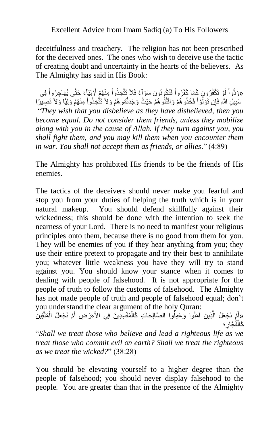deceitfulness and treachery. The religion has not been prescribed for the deceived ones. The ones who wish to deceive use the tactic of creating doubt and uncertainty in the hearts of the believers. As The Almighty has said in His Book:

«وَدُّواْ لَوْ تَكْفُرُونَ كَمَا كَفَرُواْ فَتَكُونُونَ سَوَآءً فَلاَ تَتَّخِذُواْ مِنْهُمْ أَوْلِيَآءَ حَتَّى يُهَاجِرُواْ فِى َ سَبِيلِ اللَّهِ فَإِن تَوَلَّوْ أَ فَخُذُو هُمْ وَاقْتُلُو هُمْ حَيْثُ وَجَدتُّمُو هُمْ وَلاَ تَتَّخِذُواْ مِنْهُمْ وَلِيًّا وَلاَ نَصِيرًا َّ "*They wish that you disbelieve as they have disbelieved, then you become equal. Do not consider them friends, unless they mobilize along with you in the cause of Allah. If they turn against you, you shall fight them, and you may kill them when you encounter them in war. You shall not accept them as friends, or allies*." (4:89)

The Almighty has prohibited His friends to be the friends of His enemies.

The tactics of the deceivers should never make you fearful and stop you from your duties of helping the truth which is in your natural makeup. You should defend skillfully against their wickedness; this should be done with the intention to seek the nearness of your Lord. There is no need to manifest your religious principles onto them, because there is no good from them for you. They will be enemies of you if they hear anything from you; they use their entire pretext to propagate and try their best to annihilate you; whatever little weakness you have they will try to stand against you. You should know your stance when it comes to dealing with people of falsehood. It is not appropriate for the people of truth to follow the customs of falsehood. The Almighty has not made people of truth and people of falsehood equal; don't you understand the clear argument of the holy Quran:

«أَمْ نَجْعَلُ الَّذِينَ آمَنُوا وَعَمِلُوا الصَّالِحَاتِ كَالْمُفْسِدِينَ فِي الأَعَرْضِ أَمْ نَجْعَلُ الْمُتَّقِينَ ْ َ ْ َّ َ كَالْفُجَّارِ ؛ ْ

"*Shall we treat those who believe and lead a righteous life as we treat those who commit evil on earth? Shall we treat the righteous as we treat the wicked?*" (38:28)

You should be elevating yourself to a higher degree than the people of falsehood; you should never display falsehood to the people. You are greater than that in the presence of the Almighty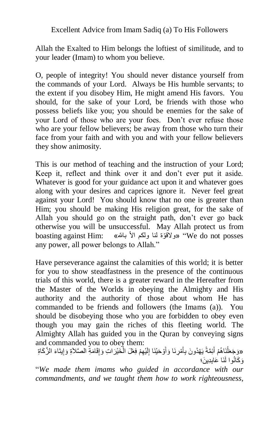Allah the Exalted to Him belongs the loftiest of similitude, and to your leader (Imam) to whom you believe.

O, people of integrity! You should never distance yourself from the commands of your Lord. Always be His humble servants; to the extent if you disobey Him, He might amend His favors. You should, for the sake of your Lord, be friends with those who possess beliefs like you; you should be enemies for the sake of your Lord of those who are your foes. Don't ever refuse those who are your fellow believers; be away from those who turn their face from your faith and with you and with your fellow believers they show animosity.

This is our method of teaching and the instruction of your Lord; Keep it, reflect and think over it and don't ever put it aside. Whatever is good for your guidance act upon it and whatever goes along with your desires and caprices ignore it. Never feel great against your Lord! You should know that no one is greater than Him; you should be making His religion great, for the sake of Allah you should go on the straight path, don't ever go back otherwise you will be unsuccessful. May Allah protect us from boasting against Him: «ولأقوّة لنا ولكم الأ بالله» "We do not posses any power, all power belongs to Allah."

Have perseverance against the calamities of this world; it is better for you to show steadfastness in the presence of the continuous trials of this world, there is a greater reward in the Hereafter from the Master of the Worlds in obeying the Almighty and His authority and the authority of those about whom He has commanded to be friends and followers (the Imams (a)). You should be disobeying those who you are forbidden to obey even though you may gain the riches of this fleeting world. The Almighty Allah has guided you in the Quran by conveying signs and commanded you to obey them:

«وَجَعَلْنَاهُمْ أَئِمَّةً يَهْدُونَ بِأَمْرِنَا وَأَوْحَيْنَا إِلَيْهِمْ فِعْلَ الْخَيْرَ اتِ وَإِقَامَةِ الصَّلاَةِ وَإِيتَاءَ الزَّكَاةِ ْ ِ َ َ َ ْ وَكَانُوا لَذَا عَابِدِينَ؛

"*We made them imams who guided in accordance with our commandments, and we taught them how to work righteousness,*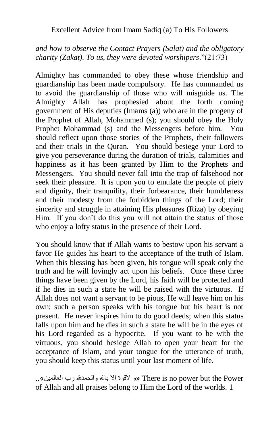## *and how to observe the Contact Prayers (Salat) and the obligatory charity (Zakat). To us, they were devoted worshipers*."(21:73)

Almighty has commanded to obey these whose friendship and guardianship has been made compulsory. He has commanded us to avoid the guardianship of those who will misguide us. The Almighty Allah has prophesied about the forth coming government of His deputies (Imams (a)) who are in the progeny of the Prophet of Allah, Mohammed (s); you should obey the Holy Prophet Mohammad (s) and the Messengers before him. You should reflect upon those stories of the Prophets, their followers and their trials in the Quran. You should besiege your Lord to give you perseverance during the duration of trials, calamities and happiness as it has been granted by Him to the Prophets and Messengers. You should never fall into the trap of falsehood nor seek their pleasure. It is upon you to emulate the people of piety and dignity, their tranquility, their forbearance, their humbleness and their modesty from the forbidden things of the Lord; their sincerity and struggle in attaining His pleasures (Riza) by obeying Him. If you don't do this you will not attain the status of those who enjoy a lofty status in the presence of their Lord.

You should know that if Allah wants to bestow upon his servant a favor He guides his heart to the acceptance of the truth of Islam. When this blessing has been given, his tongue will speak only the truth and he will lovingly act upon his beliefs. Once these three things have been given by the Lord, his faith will be protected and if he dies in such a state he will be raised with the virtuous. If Allah does not want a servant to be pious, He will leave him on his own; such a person speaks with his tongue but his heart is not present. He never inspires him to do good deeds; when this status falls upon him and he dies in such a state he will be in the eyes of his Lord regarded as a hypocrite. If you want to be with the virtuous, you should besiege Allah to open your heart for the acceptance of Islam, and your tongue for the utterance of truth, you should keep this status until your last moment of life.

 Power the but power no is There« و القوة اال با ّلل والحمد ّلل رب العالمين«.. of Allah and all praises belong to Him the Lord of the worlds. 1